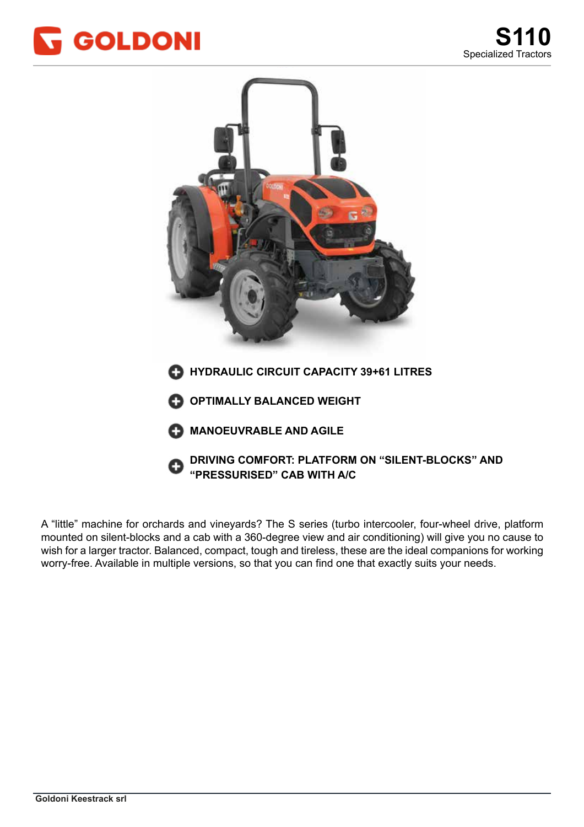



mounted on silent-blocks and a cab with a 360-degree view and air conditioning) will give you no cause to wish for a larger tractor. Balanced, compact, tough and tireless, these are the ideal companions for working worry-free. Available in multiple versions, so that you can find one that exactly suits your needs. A "little" machine for orchards and vineyards? The S series (turbo intercooler, four-wheel drive, platform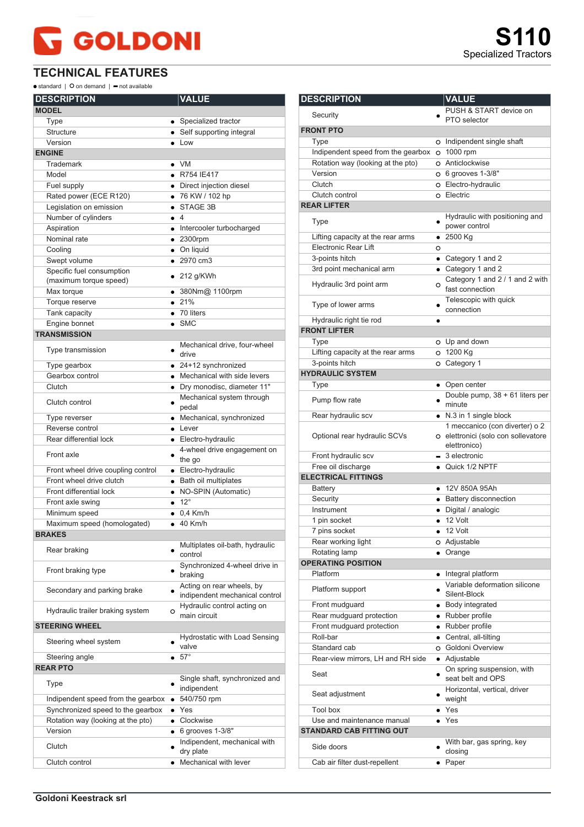## **GOLDONI**

 $\bullet$  standard |  $\bullet$  on demand |  $\bullet$  not available

| <b>DESCRIPTION</b>                 |             | <b>VALUE</b>                                                |
|------------------------------------|-------------|-------------------------------------------------------------|
| <b>MODEL</b>                       |             |                                                             |
| Type                               |             | • Specialized tractor                                       |
| <b>Structure</b>                   |             | • Self supporting integral                                  |
| Version                            |             | $\bullet$ Low                                               |
| <b>ENGINE</b>                      |             |                                                             |
| Trademark                          |             | $\bullet$ VM                                                |
| Model                              |             | • R754 IE417                                                |
| Fuel supply                        |             | • Direct injection diesel                                   |
| Rated power (ECE R120)             |             | • 76 KW / 102 hp                                            |
| Legislation on emission            |             | STAGE 3B                                                    |
| Number of cylinders                | $\bullet$ 4 |                                                             |
| Aspiration                         |             | • Intercooler turbocharged                                  |
| Nominal rate                       |             | $• 2300$ rpm                                                |
| Cooling                            |             | • On liquid                                                 |
| Swept volume                       |             | $\bullet$ 2970 cm3                                          |
| Specific fuel consumption          |             |                                                             |
| (maximum torque speed)             |             | $\bullet$ 212 g/KWh                                         |
| Max torque                         |             | ● 380Nm@ 1100rpm                                            |
| Torque reserve                     |             | • 21%                                                       |
| Tank capacity                      |             | $\bullet$ 70 liters                                         |
| Engine bonnet                      |             | $\bullet$ SMC                                               |
| <b>TRANSMISSION</b>                |             |                                                             |
|                                    |             | Mechanical drive, four-wheel                                |
| Type transmission                  |             | drive                                                       |
| Type gearbox                       |             | $\bullet$ 24+12 synchronized                                |
| Gearbox control                    |             | • Mechanical with side levers                               |
| Clutch                             |             | · Dry monodisc, diameter 11"                                |
|                                    |             | Mechanical system through                                   |
| Clutch control                     |             | pedal                                                       |
| Type reverser                      |             | • Mechanical, synchronized                                  |
| Reverse control                    |             | $\bullet$ Lever                                             |
| Rear differential lock             |             | • Electro-hydraulic                                         |
| Front axle                         |             | 4-wheel drive engagement on                                 |
|                                    |             | the go                                                      |
| Front wheel drive coupling control |             | • Electro-hydraulic                                         |
| Front wheel drive clutch           |             | • Bath oil multiplates                                      |
| Front differential lock            |             | • NO-SPIN (Automatic)                                       |
| Front axle swing                   |             | $\bullet$ 12°                                               |
| Minimum speed                      |             | $\bullet$ 0.4 Km/h                                          |
| Maximum speed (homologated)        |             | $\bullet$ 40 Km/h                                           |
| <b>BRAKES</b>                      |             |                                                             |
| Rear braking                       |             | Multiplates oil-bath, hydraulic<br>control                  |
| Front braking type                 |             | Synchronized 4-wheel drive in<br>braking                    |
| Secondary and parking brake        |             | Acting on rear wheels, by<br>indipendent mechanical control |
| Hydraulic trailer braking system   | O           | Hydraulic control acting on<br>main circuit                 |
| <b>STEERING WHEEL</b>              |             |                                                             |
| Steering wheel system              |             | Hydrostatic with Load Sensing<br>valve                      |
| Steering angle                     |             | • 57°                                                       |
| <b>REAR PTO</b>                    |             |                                                             |
| Type                               |             | Single shaft, synchronized and<br>indipendent               |
| Indipendent speed from the gearbox | $\bullet$   | 540/750 rpm                                                 |
| Synchronized speed to the gearbox  |             | $\bullet$ Yes                                               |
| Rotation way (looking at the pto)  |             | • Clockwise                                                 |
| Version                            | $\bullet$   | 6 grooves 1-3/8"                                            |
| Clutch                             |             | Indipendent, mechanical with                                |
|                                    |             | dry plate                                                   |
| Clutch control                     |             | • Mechanical with lever                                     |

| <b>DESCRIPTION</b>                 |           | <b>VALUE</b>                                                                          |
|------------------------------------|-----------|---------------------------------------------------------------------------------------|
| Security                           |           | PUSH & START device on<br>PTO selector                                                |
| <b>FRONT PTO</b>                   |           |                                                                                       |
| Type                               |           | o Indipendent single shaft                                                            |
| Indipendent speed from the gearbox |           | O 1000 rpm                                                                            |
| Rotation way (looking at the pto)  |           | O Anticlockwise                                                                       |
| Version                            |           | O 6 grooves 1-3/8"                                                                    |
| Clutch                             |           | O Electro-hydraulic                                                                   |
| Clutch control                     |           | o Electric                                                                            |
| <b>REAR LIFTER</b>                 |           |                                                                                       |
| Type                               |           | Hydraulic with positioning and<br>power control                                       |
| Lifting capacity at the rear arms  |           | $• 2500$ Kg                                                                           |
| Electronic Rear Lift               | O         |                                                                                       |
| 3-points hitch                     |           | • Category 1 and 2                                                                    |
| 3rd point mechanical arm           |           | • Category 1 and 2                                                                    |
| Hydraulic 3rd point arm            | O         | Category 1 and 2 / 1 and 2 with<br>fast connection                                    |
| Type of lower arms                 |           | Telescopic with quick<br>connection                                                   |
| Hydraulic right tie rod            |           |                                                                                       |
| <b>FRONT LIFTER</b>                |           |                                                                                       |
| Type                               |           | O Up and down                                                                         |
| Lifting capacity at the rear arms  |           | O 1200 Kg                                                                             |
| 3-points hitch                     |           | O Category 1                                                                          |
| <b>HYDRAULIC SYSTEM</b>            |           |                                                                                       |
| Type                               |           | • Open center                                                                         |
| Pump flow rate                     |           | Double pump, 38 + 61 liters per<br>minute                                             |
| Rear hydraulic scv                 |           | • N.3 in 1 single block                                                               |
| Optional rear hydraulic SCVs       |           | 1 meccanico (con diverter) o 2<br>O elettronici (solo con sollevatore<br>elettronico) |
| Front hydraulic scv                |           | $-$ 3 electronic                                                                      |
| Free oil discharge                 |           | • Quick 1/2 NPTF                                                                      |
| <b>ELECTRICAL FITTINGS</b>         |           |                                                                                       |
| <b>Battery</b>                     |           | • 12V 850A 95Ah                                                                       |
| Security                           |           | • Battery disconnection                                                               |
| Instrument                         | $\bullet$ | Digital / analogic                                                                    |
| 1 pin socket                       |           | $\bullet$ 12 Volt                                                                     |
| 7 pins socket                      |           | 12 Volt                                                                               |
| Rear working light                 |           | o Adjustable                                                                          |
| Rotating lamp                      |           | Orange                                                                                |
| <b>OPERATING POSITION</b>          |           |                                                                                       |
| Platform                           | $\bullet$ | Integral platform                                                                     |
| Platform support                   |           | Variable deformation silicone<br>Silent-Block                                         |
| Front mudguard                     |           | • Body integrated                                                                     |
| Rear mudguard protection           |           | • Rubber profile                                                                      |
| Front mudguard protection          |           | • Rubber profile                                                                      |
| Roll-bar                           |           | • Central, all-tilting                                                                |
| Standard cab                       |           | O Goldoni Overview                                                                    |
| Rear-view mirrors, LH and RH side  |           | • Adjustable                                                                          |
| Seat                               |           | On spring suspension, with<br>seat belt and OPS                                       |
| Seat adjustment                    |           | Horizontal, vertical, driver<br>weight                                                |
| Tool box                           |           | • Yes                                                                                 |
| Use and maintenance manual         |           | Yes                                                                                   |
| <b>STANDARD CAB FITTING OUT</b>    |           |                                                                                       |
| Side doors                         |           | With bar, gas spring, key<br>closing                                                  |
| Cab air filter dust-repellent      |           | $\bullet$ Paper                                                                       |